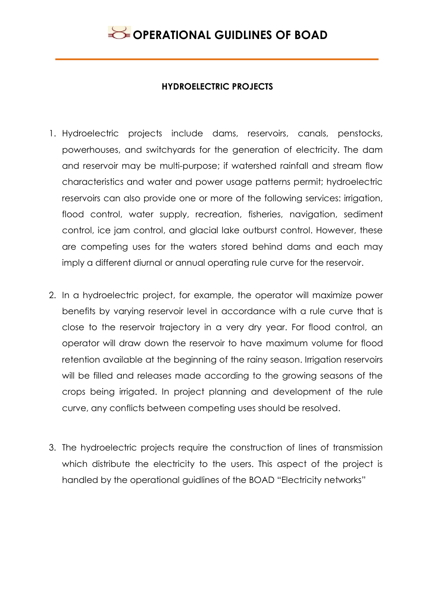#### **HYDROELECTRIC PROJECTS**

- 1. Hydroelectric projects include dams, reservoirs, canals, penstocks, powerhouses, and switchyards for the generation of electricity. The dam and reservoir may be multi-purpose; if watershed rainfall and stream flow characteristics and water and power usage patterns permit; hydroelectric reservoirs can also provide one or more of the following services: irrigation, flood control, water supply, recreation, fisheries, navigation, sediment control, ice jam control, and glacial lake outburst control. However, these are competing uses for the waters stored behind dams and each may imply a different diurnal or annual operating rule curve for the reservoir.
- 2. In a hydroelectric project, for example, the operator will maximize power benefits by varying reservoir level in accordance with a rule curve that is close to the reservoir trajectory in a very dry year. For flood control, an operator will draw down the reservoir to have maximum volume for flood retention available at the beginning of the rainy season. Irrigation reservoirs will be filled and releases made according to the growing seasons of the crops being irrigated. In project planning and development of the rule curve, any conflicts between competing uses should be resolved.
- 3. The hydroelectric projects require the construction of lines of transmission which distribute the electricity to the users. This aspect of the project is handled by the operational guidlines of the BOAD "Electricity networks"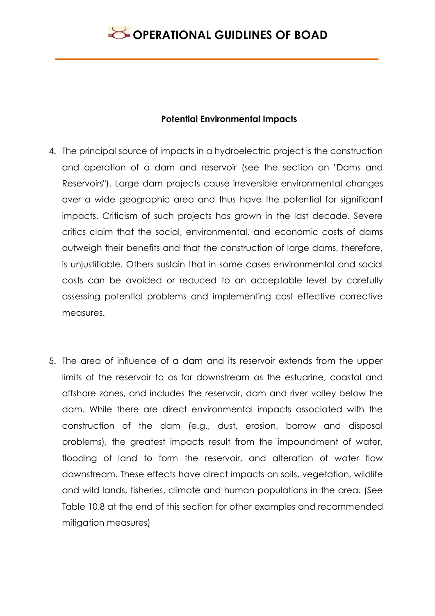#### **Potential Environmental Impacts**

- 4. The principal source of impacts in a hydroelectric project is the construction and operation of a dam and reservoir (see the section on "Dams and Reservoirs"). Large dam projects cause irreversible environmental changes over a wide geographic area and thus have the potential for significant impacts. Criticism of such projects has grown in the last decade. Severe critics claim that the social, environmental, and economic costs of dams outweigh their benefits and that the construction of large dams, therefore, is unjustifiable. Others sustain that in some cases environmental and social costs can be avoided or reduced to an acceptable level by carefully assessing potential problems and implementing cost effective corrective measures.
- 5. The area of influence of a dam and its reservoir extends from the upper limits of the reservoir to as far downstream as the estuarine, coastal and offshore zones, and includes the reservoir, dam and river valley below the dam. While there are direct environmental impacts associated with the construction of the dam (e.g., dust, erosion, borrow and disposal problems), the greatest impacts result from the impoundment of water, flooding of land to form the reservoir, and alteration of water flow downstream. These effects have direct impacts on soils, vegetation, wildlife and wild lands, fisheries, climate and human populations in the area. (See Table 10.8 at the end of this section for other examples and recommended mitigation measures)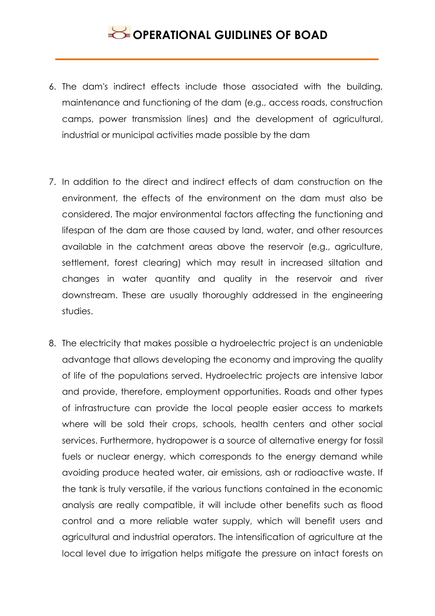- 6. The dam's indirect effects include those associated with the building, maintenance and functioning of the dam (e.g., access roads, construction camps, power transmission lines) and the development of agricultural, industrial or municipal activities made possible by the dam
- 7. In addition to the direct and indirect effects of dam construction on the environment, the effects of the environment on the dam must also be considered. The major environmental factors affecting the functioning and lifespan of the dam are those caused by land, water, and other resources available in the catchment areas above the reservoir (e.g., agriculture, settlement, forest clearing) which may result in increased siltation and changes in water quantity and quality in the reservoir and river downstream. These are usually thoroughly addressed in the engineering studies.
- 8. The electricity that makes possible a hydroelectric project is an undeniable advantage that allows developing the economy and improving the quality of life of the populations served. Hydroelectric projects are intensive labor and provide, therefore, employment opportunities. Roads and other types of infrastructure can provide the local people easier access to markets where will be sold their crops, schools, health centers and other social services. Furthermore, hydropower is a source of alternative energy for fossil fuels or nuclear energy, which corresponds to the energy demand while avoiding produce heated water, air emissions, ash or radioactive waste. If the tank is truly versatile, if the various functions contained in the economic analysis are really compatible, it will include other benefits such as flood control and a more reliable water supply, which will benefit users and agricultural and industrial operators. The intensification of agriculture at the local level due to irrigation helps mitigate the pressure on intact forests on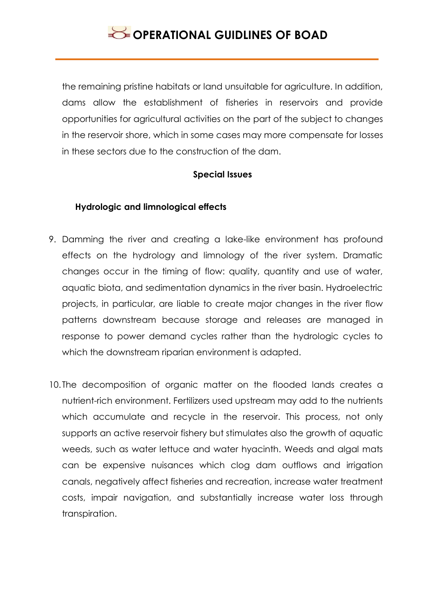the remaining pristine habitats or land unsuitable for agriculture. In addition, dams allow the establishment of fisheries in reservoirs and provide opportunities for agricultural activities on the part of the subject to changes in the reservoir shore, which in some cases may more compensate for losses in these sectors due to the construction of the dam.

### **Special Issues**

### **Hydrologic and limnological effects**

- 9. Damming the river and creating a lake-like environment has profound effects on the hydrology and limnology of the river system. Dramatic changes occur in the timing of flow: quality, quantity and use of water, aquatic biota, and sedimentation dynamics in the river basin. Hydroelectric projects, in particular, are liable to create major changes in the river flow patterns downstream because storage and releases are managed in response to power demand cycles rather than the hydrologic cycles to which the downstream riparian environment is adapted.
- 10. The decomposition of organic matter on the flooded lands creates a nutrient-rich environment. Fertilizers used upstream may add to the nutrients which accumulate and recycle in the reservoir. This process, not only supports an active reservoir fishery but stimulates also the growth of aquatic weeds, such as water lettuce and water hyacinth. Weeds and algal mats can be expensive nuisances which clog dam outflows and irrigation canals, negatively affect fisheries and recreation, increase water treatment costs, impair navigation, and substantially increase water loss through transpiration.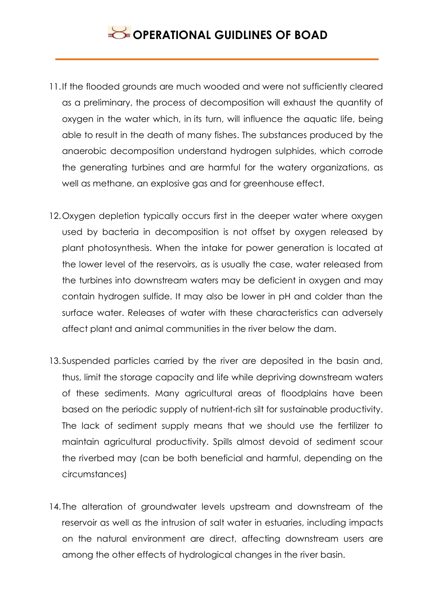- 11.If the flooded grounds are much wooded and were not sufficiently cleared as a preliminary, the process of decomposition will exhaust the quantity of oxygen in the water which, in its turn, will influence the aquatic life, being able to result in the death of many fishes. The substances produced by the anaerobic decomposition understand hydrogen sulphides, which corrode the generating turbines and are harmful for the watery organizations, as well as methane, an explosive gas and for greenhouse effect.
- 12.Oxygen depletion typically occurs first in the deeper water where oxygen used by bacteria in decomposition is not offset by oxygen released by plant photosynthesis. When the intake for power generation is located at the lower level of the reservoirs, as is usually the case, water released from the turbines into downstream waters may be deficient in oxygen and may contain hydrogen sulfide. It may also be lower in pH and colder than the surface water. Releases of water with these characteristics can adversely affect plant and animal communities in the river below the dam.
- 13.Suspended particles carried by the river are deposited in the basin and, thus, limit the storage capacity and life while depriving downstream waters of these sediments. Many agricultural areas of floodplains have been based on the periodic supply of nutrient-rich silt for sustainable productivity. The lack of sediment supply means that we should use the fertilizer to maintain agricultural productivity. Spills almost devoid of sediment scour the riverbed may (can be both beneficial and harmful, depending on the circumstances)
- 14. The alteration of groundwater levels upstream and downstream of the reservoir as well as the intrusion of salt water in estuaries, including impacts on the natural environment are direct, affecting downstream users are among the other effects of hydrological changes in the river basin.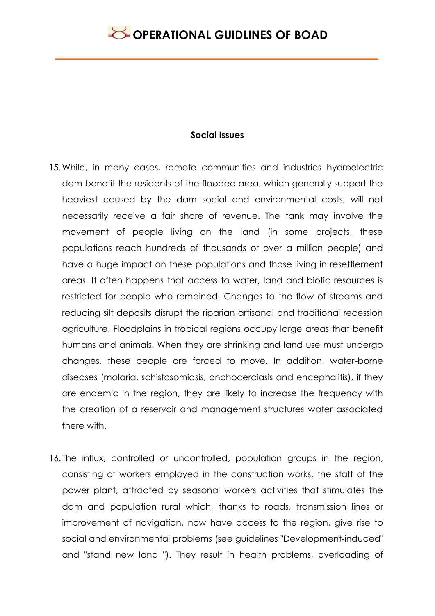#### **Social Issues**

- 15.While, in many cases, remote communities and industries hydroelectric dam benefit the residents of the flooded area, which generally support the heaviest caused by the dam social and environmental costs, will not necessarily receive a fair share of revenue. The tank may involve the movement of people living on the land (in some projects, these populations reach hundreds of thousands or over a million people) and have a huge impact on these populations and those living in resettlement areas. It often happens that access to water, land and biotic resources is restricted for people who remained. Changes to the flow of streams and reducing silt deposits disrupt the riparian artisanal and traditional recession agriculture. Floodplains in tropical regions occupy large areas that benefit humans and animals. When they are shrinking and land use must undergo changes, these people are forced to move. In addition, water-borne diseases (malaria, schistosomiasis, onchocerciasis and encephalitis), if they are endemic in the region, they are likely to increase the frequency with the creation of a reservoir and management structures water associated there with.
- 16. The influx, controlled or uncontrolled, population groups in the region, consisting of workers employed in the construction works, the staff of the power plant, attracted by seasonal workers activities that stimulates the dam and population rural which, thanks to roads, transmission lines or improvement of navigation, now have access to the region, give rise to social and environmental problems (see guidelines "Development-induced" and "stand new land "). They result in health problems, overloading of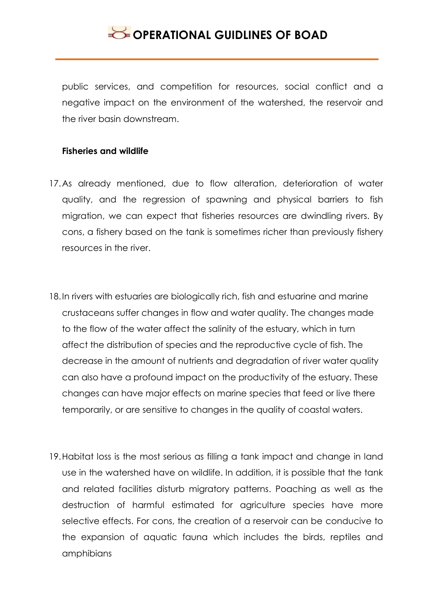public services, and competition for resources, social conflict and a negative impact on the environment of the watershed, the reservoir and the river basin downstream.

#### **Fisheries and wildlife**

- 17.As already mentioned, due to flow alteration, deterioration of water quality, and the regression of spawning and physical barriers to fish migration, we can expect that fisheries resources are dwindling rivers. By cons, a fishery based on the tank is sometimes richer than previously fishery resources in the river.
- 18.In rivers with estuaries are biologically rich, fish and estuarine and marine crustaceans suffer changes in flow and water quality. The changes made to the flow of the water affect the salinity of the estuary, which in turn affect the distribution of species and the reproductive cycle of fish. The decrease in the amount of nutrients and degradation of river water quality can also have a profound impact on the productivity of the estuary. These changes can have major effects on marine species that feed or live there temporarily, or are sensitive to changes in the quality of coastal waters.
- 19.Habitat loss is the most serious as filling a tank impact and change in land use in the watershed have on wildlife. In addition, it is possible that the tank and related facilities disturb migratory patterns. Poaching as well as the destruction of harmful estimated for agriculture species have more selective effects. For cons, the creation of a reservoir can be conducive to the expansion of aquatic fauna which includes the birds, reptiles and amphibians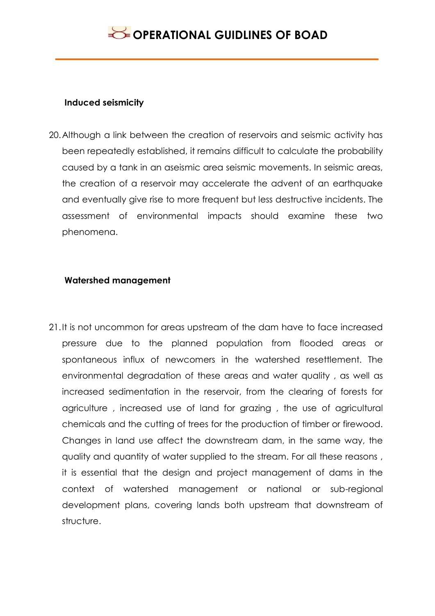#### **Induced seismicity**

20.Although a link between the creation of reservoirs and seismic activity has been repeatedly established, it remains difficult to calculate the probability caused by a tank in an aseismic area seismic movements. In seismic areas, the creation of a reservoir may accelerate the advent of an earthquake and eventually give rise to more frequent but less destructive incidents. The assessment of environmental impacts should examine these two phenomena.

### **Watershed management**

21.It is not uncommon for areas upstream of the dam have to face increased pressure due to the planned population from flooded areas or spontaneous influx of newcomers in the watershed resettlement. The environmental degradation of these areas and water quality , as well as increased sedimentation in the reservoir, from the clearing of forests for agriculture , increased use of land for grazing , the use of agricultural chemicals and the cutting of trees for the production of timber or firewood. Changes in land use affect the downstream dam, in the same way, the quality and quantity of water supplied to the stream. For all these reasons , it is essential that the design and project management of dams in the context of watershed management or national or sub-regional development plans, covering lands both upstream that downstream of structure.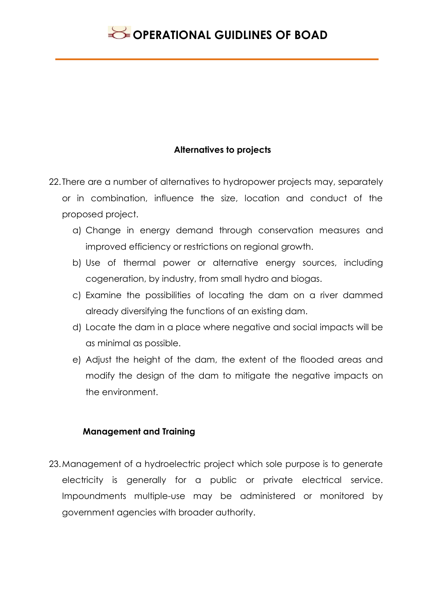### **Alternatives to projects**

- 22. There are a number of alternatives to hydropower projects may, separately or in combination, influence the size, location and conduct of the proposed project.
	- a) Change in energy demand through conservation measures and improved efficiency or restrictions on regional growth.
	- b) Use of thermal power or alternative energy sources, including cogeneration, by industry, from small hydro and biogas.
	- c) Examine the possibilities of locating the dam on a river dammed already diversifying the functions of an existing dam.
	- d) Locate the dam in a place where negative and social impacts will be as minimal as possible.
	- e) Adjust the height of the dam, the extent of the flooded areas and modify the design of the dam to mitigate the negative impacts on the environment.

#### **Management and Training**

23.Management of a hydroelectric project which sole purpose is to generate electricity is generally for a public or private electrical service. Impoundments multiple-use may be administered or monitored by government agencies with broader authority.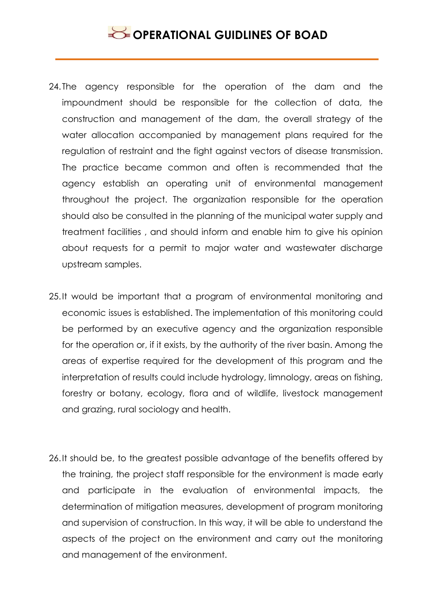- 24. The agency responsible for the operation of the dam and the impoundment should be responsible for the collection of data, the construction and management of the dam, the overall strategy of the water allocation accompanied by management plans required for the regulation of restraint and the fight against vectors of disease transmission. The practice became common and often is recommended that the agency establish an operating unit of environmental management throughout the project. The organization responsible for the operation should also be consulted in the planning of the municipal water supply and treatment facilities , and should inform and enable him to give his opinion about requests for a permit to major water and wastewater discharge upstream samples.
- 25.It would be important that a program of environmental monitoring and economic issues is established. The implementation of this monitoring could be performed by an executive agency and the organization responsible for the operation or, if it exists, by the authority of the river basin. Among the areas of expertise required for the development of this program and the interpretation of results could include hydrology, limnology, areas on fishing, forestry or botany, ecology, flora and of wildlife, livestock management and grazing, rural sociology and health.
- 26.It should be, to the greatest possible advantage of the benefits offered by the training, the project staff responsible for the environment is made early and participate in the evaluation of environmental impacts, the determination of mitigation measures, development of program monitoring and supervision of construction. In this way, it will be able to understand the aspects of the project on the environment and carry out the monitoring and management of the environment.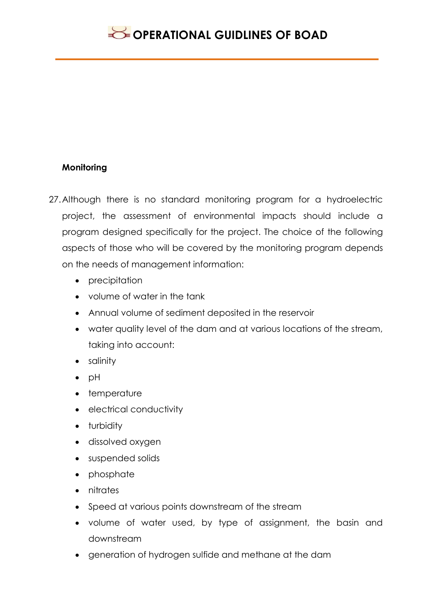### **Monitoring**

- 27.Although there is no standard monitoring program for a hydroelectric project, the assessment of environmental impacts should include a program designed specifically for the project. The choice of the following aspects of those who will be covered by the monitoring program depends on the needs of management information:
	- precipitation
	- volume of water in the tank
	- Annual volume of sediment deposited in the reservoir
	- water quality level of the dam and at various locations of the stream, taking into account:
	- salinity
	- $\bullet$  pH
	- temperature
	- electrical conductivity
	- turbidity
	- dissolved oxygen
	- suspended solids
	- phosphate
	- nitrates
	- Speed at various points downstream of the stream
	- volume of water used, by type of assignment, the basin and downstream
	- generation of hydrogen sulfide and methane at the dam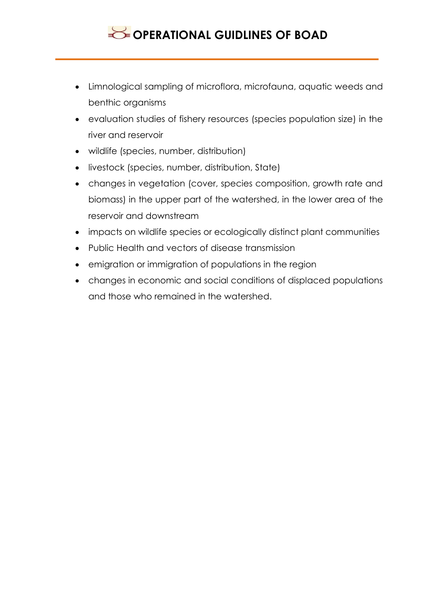- Limnological sampling of microflora, microfauna, aquatic weeds and benthic organisms
- evaluation studies of fishery resources (species population size) in the river and reservoir
- wildlife (species, number, distribution)
- **.** livestock (species, number, distribution, State)
- changes in vegetation (cover, species composition, growth rate and biomass) in the upper part of the watershed, in the lower area of the reservoir and downstream
- impacts on wildlife species or ecologically distinct plant communities
- Public Health and vectors of disease transmission
- **•** emigration or immigration of populations in the region
- changes in economic and social conditions of displaced populations and those who remained in the watershed.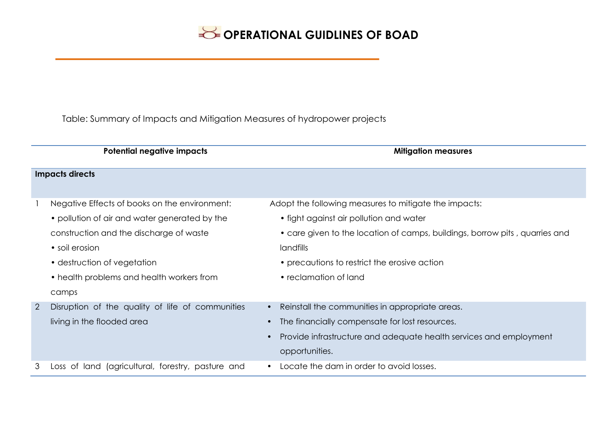Table: Summary of Impacts and Mitigation Measures of hydropower projects

|                | Potential negative impacts                        | <b>Mitigation measures</b>                                                  |
|----------------|---------------------------------------------------|-----------------------------------------------------------------------------|
|                | <b>Impacts directs</b>                            |                                                                             |
|                | Negative Effects of books on the environment:     | Adopt the following measures to mitigate the impacts:                       |
|                | • pollution of air and water generated by the     | • fight against air pollution and water                                     |
|                | construction and the discharge of waste           | • care given to the location of camps, buildings, borrow pits, quarries and |
|                | • soil erosion                                    | <i>landfills</i>                                                            |
|                | • destruction of vegetation                       | • precautions to restrict the erosive action                                |
|                | • health problems and health workers from         | • reclamation of land                                                       |
|                | camps                                             |                                                                             |
| $\overline{2}$ | Disruption of the quality of life of communities  | Reinstall the communities in appropriate areas.                             |
|                | living in the flooded area                        | The financially compensate for lost resources.                              |
|                |                                                   | Provide infrastructure and adequate health services and employment          |
|                |                                                   | opportunities.                                                              |
| 3              | Loss of land (agricultural, forestry, pasture and | Locate the dam in order to avoid losses.                                    |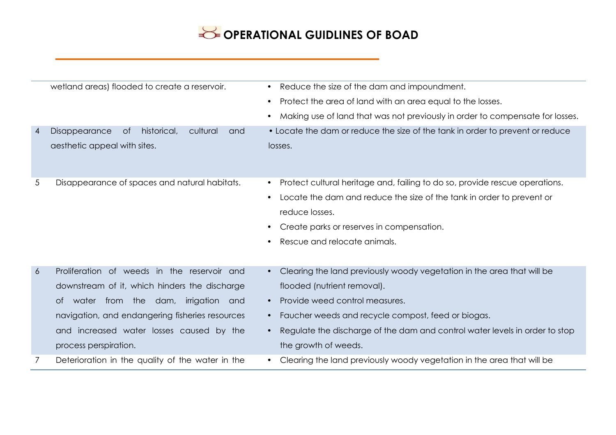|                 | wetland areas) flooded to create a reservoir.         | Reduce the size of the dam and impoundment.<br>$\bullet$                                   |
|-----------------|-------------------------------------------------------|--------------------------------------------------------------------------------------------|
|                 |                                                       | Protect the area of land with an area equal to the losses.<br>$\bullet$                    |
|                 |                                                       | Making use of land that was not previously in order to compensate for losses.<br>$\bullet$ |
| 4               | Disappearance<br>historical,<br>cultural<br>0f<br>and | • Locate the dam or reduce the size of the tank in order to prevent or reduce              |
|                 | aesthetic appeal with sites.                          | losses.                                                                                    |
| $5\overline{)}$ | Disappearance of spaces and natural habitats.         | Protect cultural heritage and, failing to do so, provide rescue operations.                |
|                 |                                                       | Locate the dam and reduce the size of the tank in order to prevent or                      |
|                 |                                                       | reduce losses.                                                                             |
|                 |                                                       | Create parks or reserves in compensation.                                                  |
|                 |                                                       | Rescue and relocate animals.                                                               |
|                 |                                                       |                                                                                            |
| $\overline{6}$  | Proliferation of weeds in the reservoir and           | Clearing the land previously woody vegetation in the area that will be<br>$\bullet$        |
|                 | downstream of it, which hinders the discharge         | flooded (nutrient removal).                                                                |
|                 | water from the dam,<br>irrigation<br>and<br>ot.       | Provide weed control measures.<br>$\bullet$                                                |
|                 | navigation, and endangering fisheries resources       | Faucher weeds and recycle compost, feed or biogas.                                         |
|                 | and increased water losses caused by the              | Regulate the discharge of the dam and control water levels in order to stop<br>$\bullet$   |
|                 | process perspiration.                                 | the growth of weeds.                                                                       |
| 7               | Deterioration in the quality of the water in the      | Clearing the land previously woody vegetation in the area that will be<br>$\bullet$        |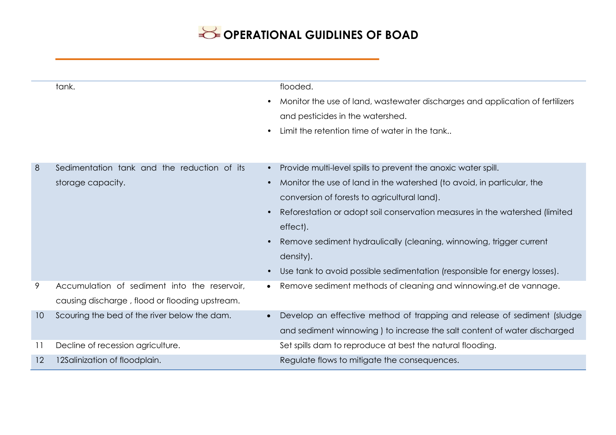|    | tank.                                          | flooded.                                                                      |
|----|------------------------------------------------|-------------------------------------------------------------------------------|
|    |                                                | Monitor the use of land, wastewater discharges and application of fertilizers |
|    |                                                | and pesticides in the watershed.                                              |
|    |                                                | Limit the retention time of water in the tank                                 |
|    |                                                |                                                                               |
| 8  | Sedimentation tank and the reduction of its    | Provide multi-level spills to prevent the anoxic water spill.                 |
|    | storage capacity.                              | Monitor the use of land in the watershed (to avoid, in particular, the        |
|    |                                                | conversion of forests to agricultural land).                                  |
|    |                                                | Reforestation or adopt soil conservation measures in the watershed (limited   |
|    |                                                | effect).                                                                      |
|    |                                                | Remove sediment hydraulically (cleaning, winnowing, trigger current           |
|    |                                                | density).                                                                     |
|    |                                                | Use tank to avoid possible sedimentation (responsible for energy losses).     |
| 9  | Accumulation of sediment into the reservoir,   | Remove sediment methods of cleaning and winnowing.et de vannage.              |
|    | causing discharge, flood or flooding upstream. |                                                                               |
| 10 | Scouring the bed of the river below the dam.   | Develop an effective method of trapping and release of sediment (sludge       |
|    |                                                | and sediment winnowing ) to increase the salt content of water discharged     |
| 11 | Decline of recession agriculture.              | Set spills dam to reproduce at best the natural flooding.                     |
| 12 | 12Salinization of floodplain.                  | Regulate flows to mitigate the consequences.                                  |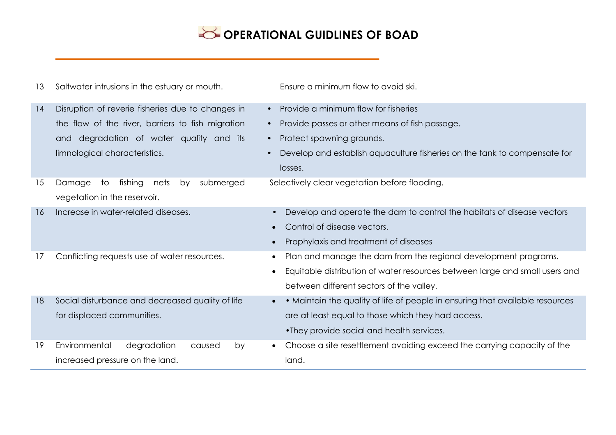| 13 | Saltwater intrusions in the estuary or mouth.      | Ensure a minimum flow to avoid ski.                                                        |
|----|----------------------------------------------------|--------------------------------------------------------------------------------------------|
| 14 | Disruption of reverie fisheries due to changes in  | Provide a minimum flow for fisheries                                                       |
|    | the flow of the river, barriers to fish migration  | Provide passes or other means of fish passage.                                             |
|    | degradation of water quality and its<br>and        | Protect spawning grounds.<br>$\bullet$                                                     |
|    | limnological characteristics.                      | Develop and establish aquaculture fisheries on the tank to compensate for                  |
|    |                                                    | losses.                                                                                    |
| 15 | Damage<br>to<br>fishing<br>submerged<br>nets<br>by | Selectively clear vegetation before flooding.                                              |
|    | vegetation in the reservoir.                       |                                                                                            |
| 16 | Increase in water-related diseases.                | Develop and operate the dam to control the habitats of disease vectors<br>$\bullet$        |
|    |                                                    | Control of disease vectors.                                                                |
|    |                                                    | Prophylaxis and treatment of diseases                                                      |
| 17 | Conflicting requests use of water resources.       | Plan and manage the dam from the regional development programs.                            |
|    |                                                    | Equitable distribution of water resources between large and small users and<br>$\bullet$   |
|    |                                                    | between different sectors of the valley.                                                   |
| 18 | Social disturbance and decreased quality of life   | • Maintain the quality of life of people in ensuring that available resources<br>$\bullet$ |
|    | for displaced communities.                         | are at least equal to those which they had access.                                         |
|    |                                                    | • They provide social and health services.                                                 |
| 19 | Environmental<br>degradation<br>caused<br>by       | Choose a site resettlement avoiding exceed the carrying capacity of the                    |
|    | increased pressure on the land.                    | land.                                                                                      |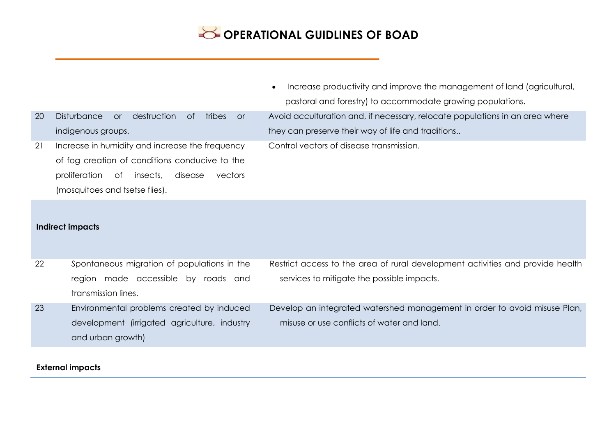|    |                                                                            | Increase productivity and improve the management of land (agricultural,<br>$\bullet$<br>pastoral and forestry) to accommodate growing populations. |
|----|----------------------------------------------------------------------------|----------------------------------------------------------------------------------------------------------------------------------------------------|
|    |                                                                            |                                                                                                                                                    |
| 20 | <b>Disturbance</b><br>destruction<br>0f<br>$\alpha$<br>tribes<br><b>or</b> | Avoid acculturation and, if necessary, relocate populations in an area where                                                                       |
|    | indigenous groups.                                                         | they can preserve their way of life and traditions                                                                                                 |
| 21 | Increase in humidity and increase the frequency                            | Control vectors of disease transmission.                                                                                                           |
|    | of fog creation of conditions conducive to the                             |                                                                                                                                                    |
|    | proliferation<br>of<br>insects,<br>disease<br>vectors                      |                                                                                                                                                    |
|    | (mosquitoes and tsetse flies).                                             |                                                                                                                                                    |
|    | <b>Indirect impacts</b>                                                    |                                                                                                                                                    |
| 22 | Spontaneous migration of populations in the                                | Restrict access to the area of rural development activities and provide health                                                                     |
|    | region made accessible by roads and                                        | services to mitigate the possible impacts.                                                                                                         |
|    | transmission lines.                                                        |                                                                                                                                                    |
| 23 | Environmental problems created by induced                                  | Develop an integrated watershed management in order to avoid misuse Plan,                                                                          |
|    | development (irrigated agriculture, industry                               | misuse or use conflicts of water and land.                                                                                                         |
|    | and urban growth)                                                          |                                                                                                                                                    |
|    |                                                                            |                                                                                                                                                    |

#### **External impacts**